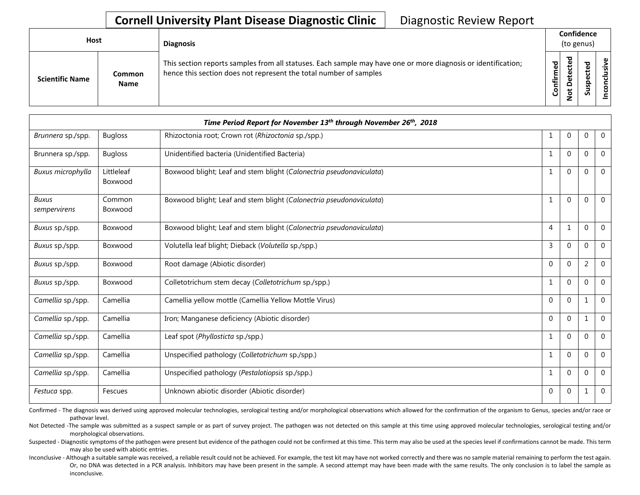| Host                   |                              | <b>Diagnosis</b>                                                                                                                                                                   |               | Confidence<br>(to genus) |                                 |                  |
|------------------------|------------------------------|------------------------------------------------------------------------------------------------------------------------------------------------------------------------------------|---------------|--------------------------|---------------------------------|------------------|
| <b>Scientific Name</b> | <b>Common</b><br><b>Name</b> | This section reports samples from all statuses. Each sample may have one or more diagnosis or identification;<br>hence this section does not represent the total number of samples | ဥ<br>Confirme | ᇃ<br>$\Omega$<br>ى       | ъ<br>ω<br>د<br>ω<br>௨<br>s<br>ä | usive<br>᠊ᠣ<br>۰ |

|                              |                       | Time Period Report for November 13th through November 26th, 2018    |              |              |              |                |
|------------------------------|-----------------------|---------------------------------------------------------------------|--------------|--------------|--------------|----------------|
| Brunnera sp./spp.            | <b>Bugloss</b>        | Rhizoctonia root; Crown rot (Rhizoctonia sp./spp.)                  | 1            | 0            | 0            | $\mathbf 0$    |
| Brunnera sp./spp.            | <b>Bugloss</b>        | Unidentified bacteria (Unidentified Bacteria)                       | 1            | $\mathbf 0$  | $\Omega$     | $\mathbf 0$    |
| Buxus microphylla            | Littleleaf<br>Boxwood | Boxwood blight; Leaf and stem blight (Calonectria pseudonaviculata) | $\mathbf{1}$ | $\Omega$     | $\Omega$     | $\Omega$       |
| <b>Buxus</b><br>sempervirens | Common<br>Boxwood     | Boxwood blight; Leaf and stem blight (Calonectria pseudonaviculata) | $\mathbf{1}$ | $\Omega$     | $\Omega$     | $\mathbf 0$    |
| Buxus sp./spp.               | Boxwood               | Boxwood blight; Leaf and stem blight (Calonectria pseudonaviculata) | 4            | $\mathbf{1}$ | $\mathbf{0}$ | $\Omega$       |
| Buxus sp./spp.               | Boxwood               | Volutella leaf blight; Dieback (Volutella sp./spp.)                 | 3            | $\mathbf 0$  | $\Omega$     | $\overline{0}$ |
| Buxus sp./spp.               | Boxwood               | Root damage (Abiotic disorder)                                      | $\Omega$     | $\Omega$     | 2            | $\Omega$       |
| Buxus sp./spp.               | Boxwood               | Colletotrichum stem decay (Colletotrichum sp./spp.)                 | 1            | $\Omega$     | $\Omega$     | $\mathbf 0$    |
| Camellia sp./spp.            | Camellia              | Camellia yellow mottle (Camellia Yellow Mottle Virus)               | $\Omega$     | $\Omega$     |              | $\Omega$       |
| Camellia sp./spp.            | Camellia              | Iron; Manganese deficiency (Abiotic disorder)                       | $\Omega$     | $\Omega$     | $\mathbf{1}$ | $\mathbf{0}$   |
| Camellia sp./spp.            | Camellia              | Leaf spot (Phyllosticta sp./spp.)                                   | $\mathbf{1}$ | $\Omega$     | $\Omega$     | $\Omega$       |
| Camellia sp./spp.            | Camellia              | Unspecified pathology (Colletotrichum sp./spp.)                     | 1            | $\Omega$     | $\Omega$     | $\Omega$       |
| Camellia sp./spp.            | Camellia              | Unspecified pathology (Pestalotiopsis sp./spp.)                     | $\mathbf{1}$ | $\mathbf 0$  | 0            | $\mathbf 0$    |
| Festuca spp.                 | Fescues               | Unknown abiotic disorder (Abiotic disorder)                         | $\Omega$     | 0            | 1            | $\mathbf{0}$   |

Confirmed - The diagnosis was derived using approved molecular technologies, serological testing and/or morphological observations which allowed for the confirmation of the organism to Genus, species and/or race or pathovar level.

Not Detected -The sample was submitted as a suspect sample or as part of survey project. The pathogen was not detected on this sample at this time using approved molecular technologies, serological testing and/or morphological observations.

Suspected - Diagnostic symptoms of the pathogen were present but evidence of the pathogen could not be confirmed at this time. This term may also be used at the species level if confirmations cannot be made. This term may also be used with abiotic entries.

Inconclusive - Although a suitable sample was received, a reliable result could not be achieved. For example, the test kit may have not worked correctly and there was no sample material remaining to perform the test again. Or, no DNA was detected in a PCR analysis. Inhibitors may have been present in the sample. A second attempt may have been made with the same results. The only conclusion is to label the sample as inconclusive.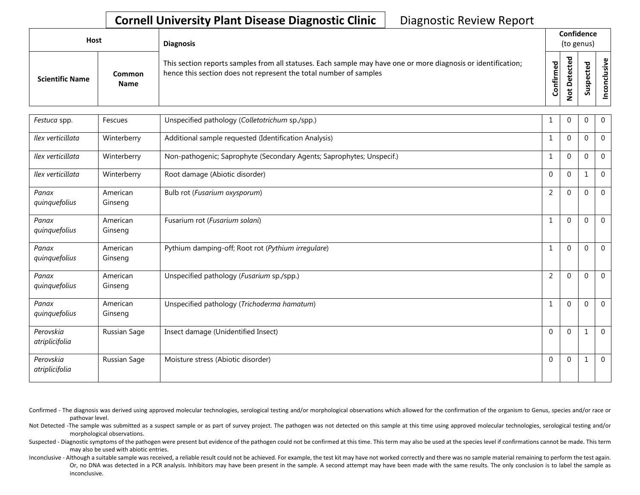| Host                   |                       | <b>Diagnosis</b>                                                                                                                                                                   |                   |               | Confidence<br>(to genus) |           |
|------------------------|-----------------------|------------------------------------------------------------------------------------------------------------------------------------------------------------------------------------|-------------------|---------------|--------------------------|-----------|
| <b>Scientific Name</b> | Common<br><b>Name</b> | This section reports samples from all statuses. Each sample may have one or more diagnosis or identification;<br>hence this section does not represent the total number of samples | ъ<br>ω<br>Confirm | ъ<br>$\Omega$ | Φ<br>ω<br>요<br>s<br>Ū    | စ္၊<br>ی: |

| Festuca spp.                | Fescues             | Unspecified pathology (Colletotrichum sp./spp.)                       |                | $\mathbf 0$  | 0            | $\mathbf{0}$   |
|-----------------------------|---------------------|-----------------------------------------------------------------------|----------------|--------------|--------------|----------------|
| Ilex verticillata           | Winterberry         | Additional sample requested (Identification Analysis)                 |                | $\mathbf{0}$ | 0            | $\mathbf{0}$   |
| Ilex verticillata           | Winterberry         | Non-pathogenic; Saprophyte (Secondary Agents; Saprophytes; Unspecif.) |                | $\Omega$     | $\Omega$     | $\mathbf 0$    |
| Ilex verticillata           | Winterberry         | Root damage (Abiotic disorder)                                        | $\Omega$       | $\Omega$     | $\mathbf{1}$ | $\mathbf{0}$   |
| Panax<br>quinquefolius      | American<br>Ginseng | Bulb rot (Fusarium oxysporum)                                         | $\overline{2}$ | $\Omega$     | $\theta$     | $\mathbf 0$    |
| Panax<br>quinquefolius      | American<br>Ginseng | Fusarium rot (Fusarium solani)                                        | 1              | $\Omega$     | $\Omega$     | $\mathbf{0}$   |
| Panax<br>quinquefolius      | American<br>Ginseng | Pythium damping-off; Root rot (Pythium irregulare)                    | 1              | $\mathbf 0$  | $\mathbf{0}$ | $\overline{0}$ |
| Panax<br>quinquefolius      | American<br>Ginseng | Unspecified pathology (Fusarium sp./spp.)                             | 2              | $\Omega$     | $\Omega$     | $\overline{0}$ |
| Panax<br>quinquefolius      | American<br>Ginseng | Unspecified pathology (Trichoderma hamatum)                           | 1              | $\mathbf{0}$ | 0            | $\overline{0}$ |
| Perovskia<br>atriplicifolia | Russian Sage        | Insect damage (Unidentified Insect)                                   | $\Omega$       | $\Omega$     | $\mathbf{1}$ | $\mathbf{0}$   |
| Perovskia<br>atriplicifolia | Russian Sage        | Moisture stress (Abiotic disorder)                                    | $\mathbf{0}$   | $\Omega$     | $\mathbf{1}$ | $\overline{0}$ |

Not Detected -The sample was submitted as a suspect sample or as part of survey project. The pathogen was not detected on this sample at this time using approved molecular technologies, serological testing and/or morphological observations.

Suspected - Diagnostic symptoms of the pathogen were present but evidence of the pathogen could not be confirmed at this time. This term may also be used at the species level if confirmations cannot be made. This term may also be used with abiotic entries.

Inconclusive - Although a suitable sample was received, a reliable result could not be achieved. For example, the test kit may have not worked correctly and there was no sample material remaining to perform the test again. Or, no DNA was detected in a PCR analysis. Inhibitors may have been present in the sample. A second attempt may have been made with the same results. The only conclusion is to label the sample as inconclusive.

Confirmed - The diagnosis was derived using approved molecular technologies, serological testing and/or morphological observations which allowed for the confirmation of the organism to Genus, species and/or race or pathovar level.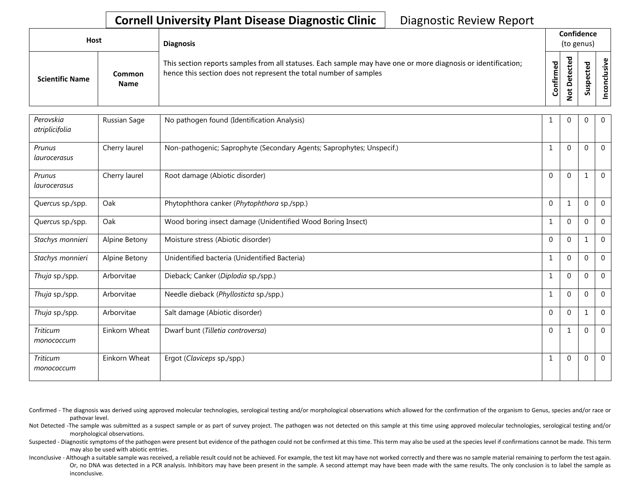| Host                   |                       | <b>Diagnosis</b>                                                                                                                                                                   |           |                                    | Confidence<br>(to genus) |  |  |
|------------------------|-----------------------|------------------------------------------------------------------------------------------------------------------------------------------------------------------------------------|-----------|------------------------------------|--------------------------|--|--|
| <b>Scientific Name</b> | Common<br><b>Name</b> | This section reports samples from all statuses. Each sample may have one or more diagnosis or identification;<br>hence this section does not represent the total number of samples | Confirmed | ъ<br>ں<br>ىپ<br>Δ<br>سە<br>$\circ$ | ъ<br>S<br>ഗ്             |  |  |

| Perovskia<br>atriplicifolia   | Russian Sage  | No pathogen found (Identification Analysis)                           |              | $\Omega$     | 0            | $\mathbf{0}$   |
|-------------------------------|---------------|-----------------------------------------------------------------------|--------------|--------------|--------------|----------------|
| Prunus<br>laurocerasus        | Cherry laurel | Non-pathogenic; Saprophyte (Secondary Agents; Saprophytes; Unspecif.) | $\mathbf{1}$ | $\Omega$     | $\mathbf{0}$ | $\mathbf{0}$   |
| Prunus<br>laurocerasus        | Cherry laurel | Root damage (Abiotic disorder)                                        | $\Omega$     | $\Omega$     | $\mathbf{1}$ | $\overline{0}$ |
| Quercus sp./spp.              | Oak           | Phytophthora canker (Phytophthora sp./spp.)                           | $\Omega$     | $\mathbf{1}$ | $\mathbf{0}$ | $\overline{0}$ |
| Quercus sp./spp.              | Oak           | Wood boring insect damage (Unidentified Wood Boring Insect)           | 1            | $\mathbf{0}$ | $\mathbf{0}$ | $\overline{0}$ |
| Stachys monnieri              | Alpine Betony | Moisture stress (Abiotic disorder)                                    | $\Omega$     | $\Omega$     | $\mathbf{1}$ | $\overline{0}$ |
| Stachys monnieri              | Alpine Betony | Unidentified bacteria (Unidentified Bacteria)                         | -1           | $\Omega$     | $\Omega$     | $\mathbf{0}$   |
| Thuja sp./spp.                | Arborvitae    | Dieback; Canker (Diplodia sp./spp.)                                   |              | $\Omega$     | $\Omega$     | $\mathbf{0}$   |
| Thuja sp./spp.                | Arborvitae    | Needle dieback (Phyllosticta sp./spp.)                                |              | $\Omega$     | $\Omega$     | $\mathbf{0}$   |
| Thuja sp./spp.                | Arborvitae    | Salt damage (Abiotic disorder)                                        | $\Omega$     | $\Omega$     | $\mathbf{1}$ | $\mathbf{0}$   |
| <b>Triticum</b><br>monococcum | Einkorn Wheat | Dwarf bunt (Tilletia controversa)                                     | $\Omega$     | $\mathbf{1}$ | $\Omega$     | $\mathbf{0}$   |
| <b>Triticum</b><br>monococcum | Einkorn Wheat | Ergot (Claviceps sp./spp.)                                            | 1            | $\Omega$     | $\mathbf 0$  | $\mathbf 0$    |

Confirmed - The diagnosis was derived using approved molecular technologies, serological testing and/or morphological observations which allowed for the confirmation of the organism to Genus, species and/or race or pathovar level.

Not Detected -The sample was submitted as a suspect sample or as part of survey project. The pathogen was not detected on this sample at this time using approved molecular technologies, serological testing and/or morphological observations.

Suspected - Diagnostic symptoms of the pathogen were present but evidence of the pathogen could not be confirmed at this time. This term may also be used at the species level if confirmations cannot be made. This term may also be used with abiotic entries.

Inconclusive - Although a suitable sample was received, a reliable result could not be achieved. For example, the test kit may have not worked correctly and there was no sample material remaining to perform the test again. Or, no DNA was detected in a PCR analysis. Inhibitors may have been present in the sample. A second attempt may have been made with the same results. The only conclusion is to label the sample as inconclusive.